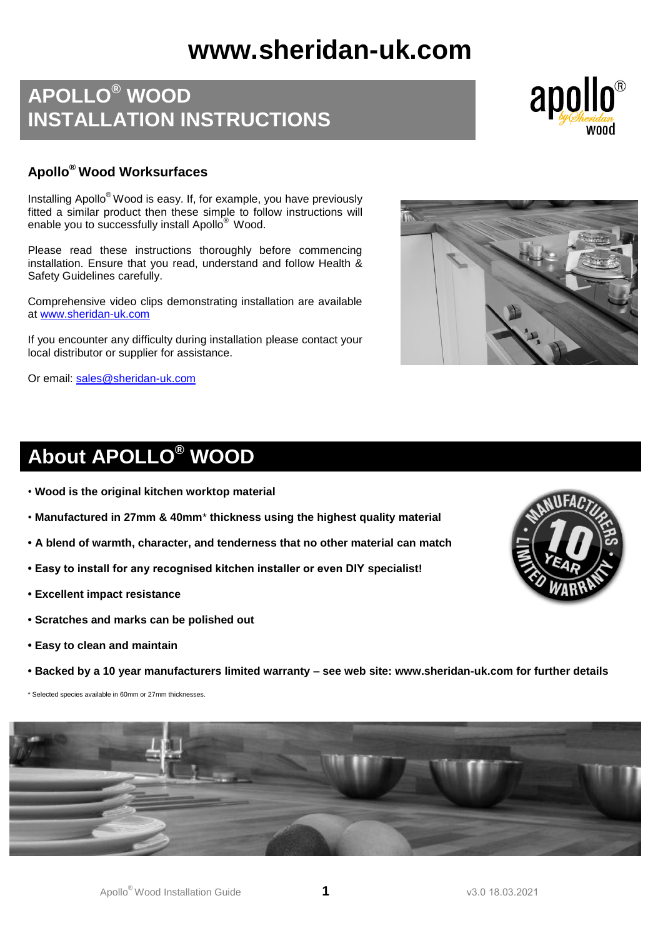# **www.sheridan-uk.com**

# **APOLLO® WOOD INSTALLATION INSTRUCTIONS**



## **Apollo® Wood Worksurfaces**

Installing Apollo® Wood is easy. If, for example, you have previously fitted a similar product then these simple to follow instructions will enable you to successfully install Apollo<sup>®</sup> Wood.

Please read these instructions thoroughly before commencing installation. Ensure that you read, understand and follow Health & Safety Guidelines carefully.

Comprehensive video clips demonstrating installation are available at [www.sheridan-uk.com](http://www.sheridan-uk.com/)

If you encounter any difficulty during installation please contact your local distributor or supplier for assistance.

Or email: [sales@sheridan-uk.com](mailto:sales@sheridan-uk.com)



# **About APOLLO® WOOD**

- **Wood is the original kitchen worktop material**
- **Manufactured in 27mm & 40mm**\* **thickness using the highest quality material**
- **• A blend of warmth, character, and tenderness that no other material can match**
- **Easy to install for any recognised kitchen installer or even DIY specialist!**
- **• Excellent impact resistance**
- **• Scratches and marks can be polished out**
- **• Easy to clean and maintain**
- **• Backed by a 10 year manufacturers limited warranty – see web site: www.sheridan-uk.com for further details**

\* Selected species available in 60mm or 27mm thicknesses.



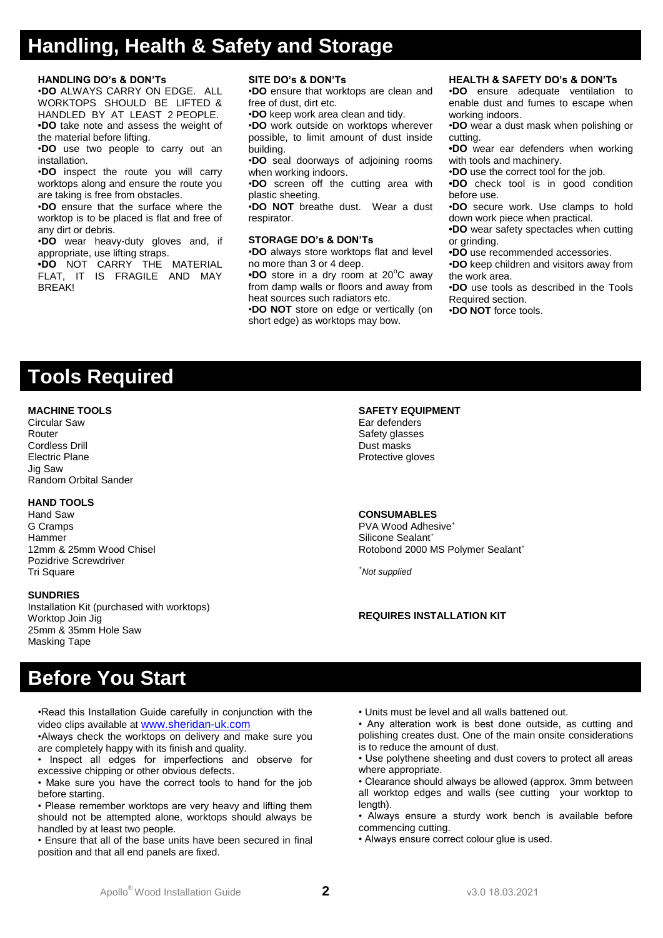# **Handling, Health & Safety and Storage**

### **HANDLING DO's & DON'Ts**

•**DO** ALWAYS CARRY ON EDGE. ALL WORKTOPS SHOULD BE LIFTED & HANDLED BY AT LEAST 2 PEOPLE. **•DO** take note and assess the weight of the material before lifting.

•**DO** use two people to carry out an installation.

•**DO** inspect the route you will carry worktops along and ensure the route you are taking is free from obstacles.

•**DO** ensure that the surface where the worktop is to be placed is flat and free of any dirt or debris.

•**DO** wear heavy-duty gloves and, if appropriate, use lifting straps.

**•DO** NOT CARRY THE MATERIAL FLAT, IT IS FRAGILE AND MAY BREAK!

#### **SITE DO's & DON'Ts**

•**DO** ensure that worktops are clean and free of dust, dirt etc.

•**DO** keep work area clean and tidy.

•**DO** work outside on worktops wherever possible, to limit amount of dust inside building.

•**DO** seal doorways of adjoining rooms when working indoors.

•**DO** screen off the cutting area with plastic sheeting.

•**DO NOT** breathe dust. Wear a dust respirator.

#### **STORAGE DO's & DON'Ts**

•**DO** always store worktops flat and level no more than 3 or 4 deep.

**•DO** store in a dry room at 20°C away from damp walls or floors and away from heat sources such radiators etc.

•**DO NOT** store on edge or vertically (on short edge) as worktops may bow.

### **HEALTH & SAFETY DO's & DON'Ts**

•**DO** ensure adequate ventilation to enable dust and fumes to escape when working indoors.

•**DO** wear a dust mask when polishing or cutting.

**•DO** wear ear defenders when working with tools and machinery.

•**DO** use the correct tool for the job.

**•DO** check tool is in good condition before use.

•**DO** secure work. Use clamps to hold down work piece when practical.

**•DO** wear safety spectacles when cutting or grinding.

**•DO** use recommended accessories.

•**DO** keep children and visitors away from the work area.

•**DO** use tools as described in the Tools Required section.

•**DO NOT** force tools.

# **Tools Required**

### **MACHINE TOOLS**

Circular Saw Router Cordless Drill Electric Plane Jig Saw Random Orbital Sander

### **HAND TOOLS**

Hand Saw G Cramps **Hammer** 12mm & 25mm Wood Chisel Pozidrive Screwdriver **Tri Square** 

### **SUNDRIES**

Installation Kit (purchased with worktops) Worktop Join Jig 25mm & 35mm Hole Saw Masking Tape

#### **SAFETY EQUIPMENT** Ear defenders Safety glasses

Dust masks Protective gloves

#### **CONSUMABLES**

PVA Wood Adhesive*<sup>+</sup>* Silicone Sealant*<sup>+</sup>* Rotobond 2000 MS Polymer Sealant *+*

*<sup>+</sup>Not supplied*

## **REQUIRES INSTALLATION KIT**

# **Before You Start**

•Read this Installation Guide carefully in conjunction with the video clips available at [www.sheridan-uk.com](http://www.sheridan-uk.com/)

•Always check the worktops on delivery and make sure you are completely happy with its finish and quality.

• Inspect all edges for imperfections and observe for excessive chipping or other obvious defects.

• Make sure you have the correct tools to hand for the job before starting.

• Please remember worktops are very heavy and lifting them should not be attempted alone, worktops should always be handled by at least two people.

• Ensure that all of the base units have been secured in final position and that all end panels are fixed.

• Units must be level and all walls battened out.

• Any alteration work is best done outside, as cutting and polishing creates dust. One of the main onsite considerations is to reduce the amount of dust.

• Use polythene sheeting and dust covers to protect all areas where appropriate.

• Clearance should always be allowed (approx. 3mm between all worktop edges and walls (see cutting your worktop to length)

• Always ensure a sturdy work bench is available before commencing cutting.

• Always ensure correct colour glue is used.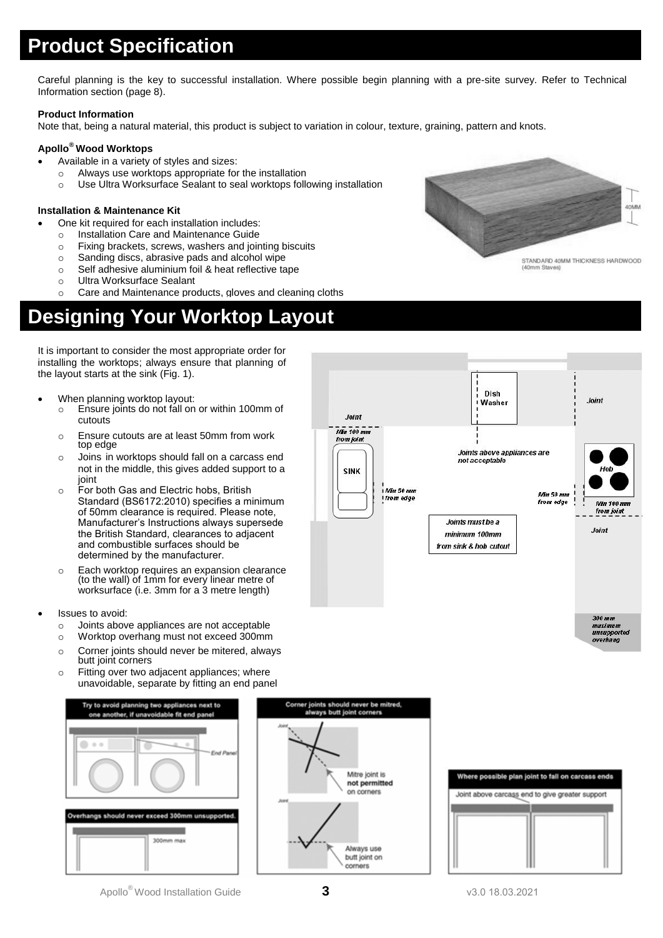# **Product Specification**

Careful planning is the key to successful installation. Where possible begin planning with a pre-site survey. Refer to Technical Information section (page 8).

### **Product Information**

Note that, being a natural material, this product is subject to variation in colour, texture, graining, pattern and knots.

## **Apollo® Wood Worktops**

- Available in a variety of styles and sizes:
	- o Always use worktops appropriate for the installation
	- o Use Ultra Worksurface Sealant to seal worktops following installation

## **Installation & Maintenance Kit**

- One kit required for each installation includes:
	- o Installation Care and Maintenance Guide
	- o Fixing brackets, screws, washers and jointing biscuits
	- o Sanding discs, abrasive pads and alcohol wipe
	- o Self adhesive aluminium foil & heat reflective tape
	- o Ultra Worksurface Sealant
	- o Care and Maintenance products, gloves and cleaning cloths

# **Designing Your Worktop Layout**

It is important to consider the most appropriate order for installing the worktops; always ensure that planning of the layout starts at the sink (Fig. 1).

- When planning worktop layout:
	- o Ensure joints do not fall on or within 100mm of cutouts
	- o Ensure cutouts are at least 50mm from work top edge
	- o Joins in worktops should fall on a carcass end not in the middle, this gives added support to a joint
	- o For both Gas and Electric hobs, British Standard (BS6172:2010) specifies a minimum of 50mm clearance is required. Please note, Manufacturer's Instructions always supersede the British Standard, clearances to adjacent and combustible surfaces should be determined by the manufacturer.
	- o Each worktop requires an expansion clearance (to the wall) of 1mm for every linear metre of worksurface (i.e. 3mm for a 3 metre length)
- Issues to avoid:
	- o Joints above appliances are not acceptable
	- o Worktop overhang must not exceed 300mm
	- o Corner joints should never be mitered, always butt joint corners
	- o Fitting over two adjacent appliances; where unavoidable, separate by fitting an end panel









STANDARD 40MM THICKNESS HARDWOOD

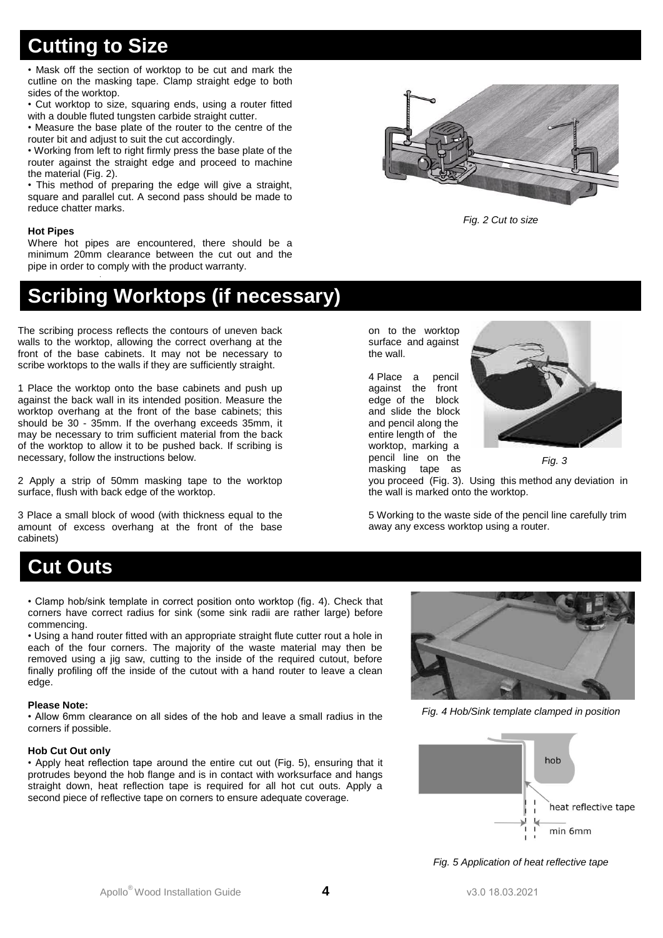# **Cutting to Size**

• Mask off the section of worktop to be cut and mark the cutline on the masking tape. Clamp straight edge to both sides of the worktop.

• Cut worktop to size, squaring ends, using a router fitted with a double fluted tungsten carbide straight cutter.

• Measure the base plate of the router to the centre of the router bit and adjust to suit the cut accordingly.

• Working from left to right firmly press the base plate of the router against the straight edge and proceed to machine the material (Fig. 2).

• This method of preparing the edge will give a straight, square and parallel cut. A second pass should be made to reduce chatter marks.

### **Hot Pipes**

Where hot pipes are encountered, there should be a minimum 20mm clearance between the cut out and the pipe in order to comply with the product warranty.

# **Scribing Worktops (if necessary)**

The scribing process reflects the contours of uneven back walls to the worktop, allowing the correct overhang at the front of the base cabinets. It may not be necessary to scribe worktops to the walls if they are sufficiently straight.

1 Place the worktop onto the base cabinets and push up against the back wall in its intended position. Measure the worktop overhang at the front of the base cabinets; this should be 30 - 35mm. If the overhang exceeds 35mm, it may be necessary to trim sufficient material from the back of the worktop to allow it to be pushed back. If scribing is necessary, follow the instructions below.

2 Apply a strip of 50mm masking tape to the worktop surface, flush with back edge of the worktop.

3 Place a small block of wood (with thickness equal to the amount of excess overhang at the front of the base cabinets)

on to the worktop surface and against the wall.

4 Place a pencil against the front edge of the block and slide the block and pencil along the entire length of the worktop, marking a pencil line on the masking tape as



*Fig. 3*

you proceed (Fig. 3). Using this method any deviation in the wall is marked onto the worktop.

*Fig. 2 Cut to size*

5 Working to the waste side of the pencil line carefully trim away any excess worktop using a router.

# **Cut Outs**

• Clamp hob/sink template in correct position onto worktop (fig. 4). Check that corners have correct radius for sink (some sink radii are rather large) before commencing.

• Using a hand router fitted with an appropriate straight flute cutter rout a hole in each of the four corners. The majority of the waste material may then be removed using a jig saw, cutting to the inside of the required cutout, before finally profiling off the inside of the cutout with a hand router to leave a clean edge.

### **Please Note:**

• Allow 6mm clearance on all sides of the hob and leave a small radius in the corners if possible.

## **Hob Cut Out only**

• Apply heat reflection tape around the entire cut out (Fig. 5), ensuring that it protrudes beyond the hob flange and is in contact with worksurface and hangs straight down, heat reflection tape is required for all hot cut outs. Apply a second piece of reflective tape on corners to ensure adequate coverage.



*Fig. 4 Hob/Sink template clamped in position*



*Fig. 5 Application of heat reflective tape*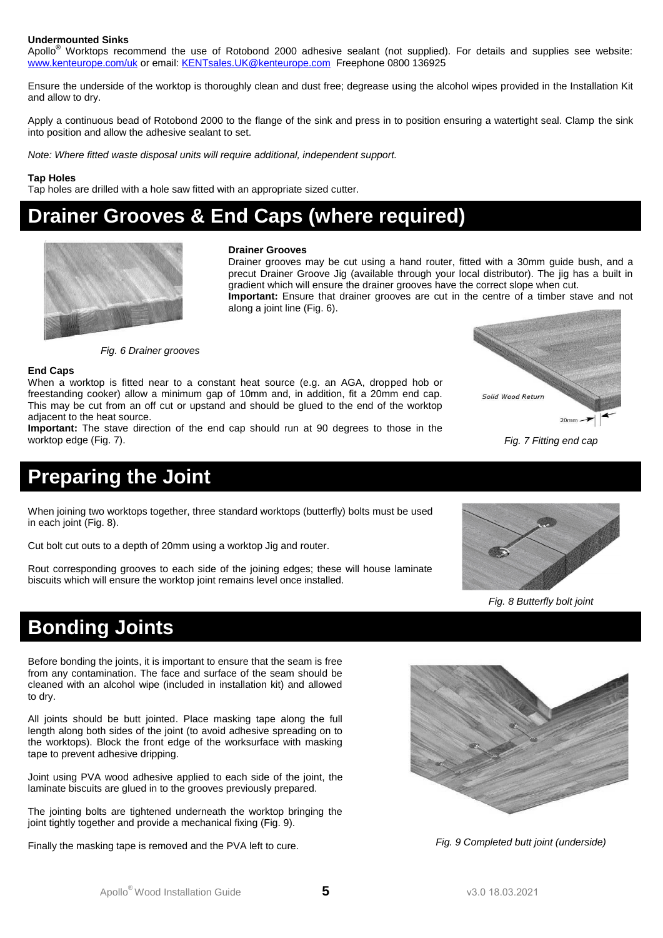### **Undermounted Sinks**

Apollo**®** Worktops recommend the use of Rotobond 2000 adhesive sealant (not supplied). For details and supplies see website: [www.kenteurope.com/uk](http://www.kenteurope.com/uk) or email: [KENTsales.UK@kenteurope.com](mailto:KENTsales.UK@kenteurope.com) Freephone 0800 136925

Ensure the underside of the worktop is thoroughly clean and dust free; degrease using the alcohol wipes provided in the Installation Kit and allow to dry.

Apply a continuous bead of Rotobond 2000 to the flange of the sink and press in to position ensuring a watertight seal. Clamp the sink into position and allow the adhesive sealant to set.

*Note: Where fitted waste disposal units will require additional, independent support.*

#### **Tap Holes**

Tap holes are drilled with a hole saw fitted with an appropriate sized cutter.

# **Drainer Grooves & End Caps (where required)**



#### **Drainer Grooves**

Drainer grooves may be cut using a hand router, fitted with a 30mm guide bush, and a precut Drainer Groove Jig (available through your local distributor). The jig has a built in gradient which will ensure the drainer grooves have the correct slope when cut. **Important:** Ensure that drainer grooves are cut in the centre of a timber stave and not along a joint line (Fig. 6).

*Fig. 6 Drainer grooves*

#### **End Caps**

When a worktop is fitted near to a constant heat source (e.g. an AGA, dropped hob or freestanding cooker) allow a minimum gap of 10mm and, in addition, fit a 20mm end cap. This may be cut from an off cut or upstand and should be glued to the end of the worktop adjacent to the heat source.

**Important:** The stave direction of the end cap should run at 90 degrees to those in the worktop edge (Fig. 7). *Fig. 7 Fitting end cap*

# **Preparing the Joint**

When joining two worktops together, three standard worktops (butterfly) bolts must be used in each joint (Fig. 8).

Cut bolt cut outs to a depth of 20mm using a worktop Jig and router.

Rout corresponding grooves to each side of the joining edges; these will house laminate biscuits which will ensure the worktop joint remains level once installed.



 $20mm$ 

Solid Wood Return

*Fig. 8 Butterfly bolt joint*

# **Bonding Joints**

Before bonding the joints, it is important to ensure that the seam is free from any contamination. The face and surface of the seam should be cleaned with an alcohol wipe (included in installation kit) and allowed to dry.

All joints should be butt jointed. Place masking tape along the full length along both sides of the joint (to avoid adhesive spreading on to the worktops). Block the front edge of the worksurface with masking tape to prevent adhesive dripping.

Joint using PVA wood adhesive applied to each side of the joint, the laminate biscuits are glued in to the grooves previously prepared.

The jointing bolts are tightened underneath the worktop bringing the joint tightly together and provide a mechanical fixing (Fig. 9).

Finally the masking tape is removed and the PVA left to cure.



*Fig. 9 Completed butt joint (underside)*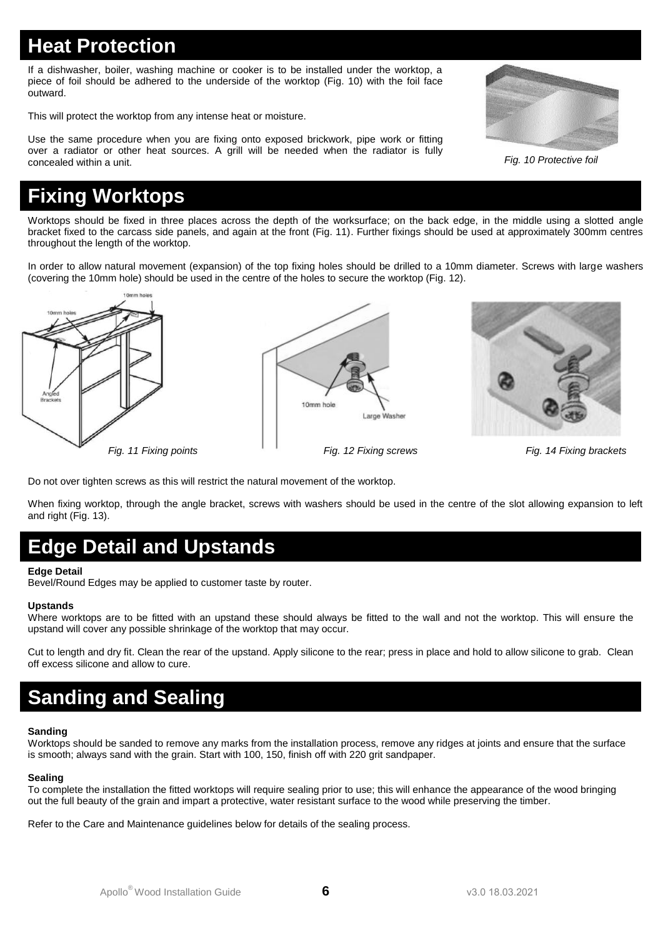# **Heat Protection**

If a dishwasher, boiler, washing machine or cooker is to be installed under the worktop, a piece of foil should be adhered to the underside of the worktop (Fig. 10) with the foil face outward.

This will protect the worktop from any intense heat or moisture.

Use the same procedure when you are fixing onto exposed brickwork, pipe work or fitting over a radiator or other heat sources. A grill will be needed when the radiator is fully concealed within a unit.

# **Fixing Worktops**

Worktops should be fixed in three places across the depth of the worksurface; on the back edge, in the middle using a slotted angle bracket fixed to the carcass side panels, and again at the front (Fig. 11). Further fixings should be used at approximately 300mm centres throughout the length of the worktop.

In order to allow natural movement (expansion) of the top fixing holes should be drilled to a 10mm diameter. Screws with large washers (covering the 10mm hole) should be used in the centre of the holes to secure the worktop (Fig. 12).



10mm hole Large Washer



Do not over tighten screws as this will restrict the natural movement of the worktop.

When fixing worktop, through the angle bracket, screws with washers should be used in the centre of the slot allowing expansion to left and right (Fig. 13).

# **Edge Detail and Upstands**

## **Edge Detail**

Bevel/Round Edges may be applied to customer taste by router.

### **Upstands**

Where worktops are to be fitted with an upstand these should always be fitted to the wall and not the worktop. This will ensure the upstand will cover any possible shrinkage of the worktop that may occur.

Cut to length and dry fit. Clean the rear of the upstand. Apply silicone to the rear; press in place and hold to allow silicone to grab. Clean off excess silicone and allow to cure.

# **Sanding and Sealing**

### **Sanding**

Worktops should be sanded to remove any marks from the installation process, remove any ridges at joints and ensure that the surface is smooth; always sand with the grain. Start with 100, 150, finish off with 220 grit sandpaper.

### **Sealing**

To complete the installation the fitted worktops will require sealing prior to use; this will enhance the appearance of the wood bringing out the full beauty of the grain and impart a protective, water resistant surface to the wood while preserving the timber.

Refer to the Care and Maintenance guidelines below for details of the sealing process.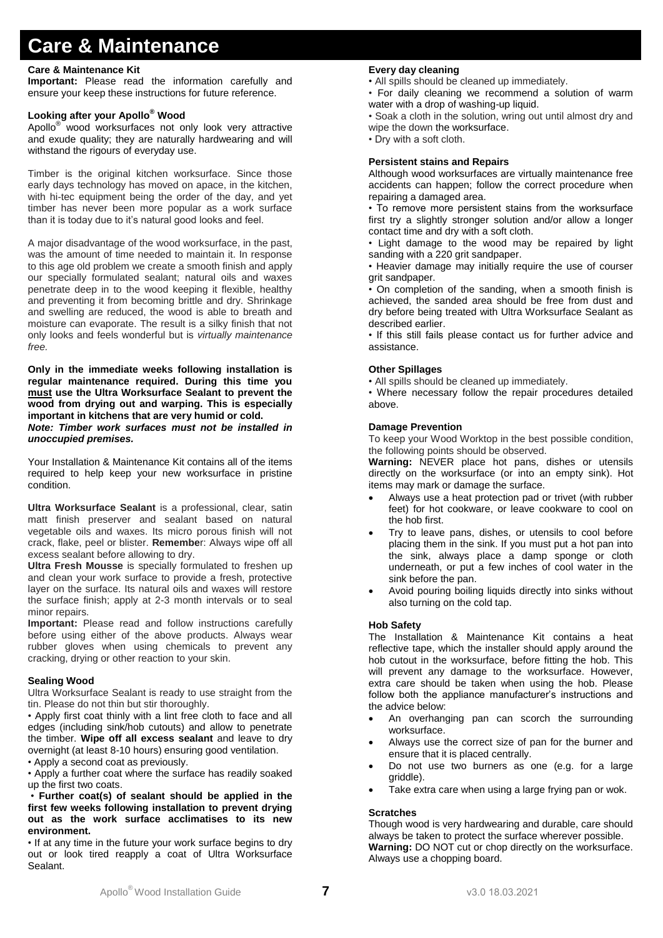# **Care & Maintenance**

### **Care & Maintenance Kit**

**Important:** Please read the information carefully and ensure your keep these instructions for future reference.

## **Looking after your Apollo® Wood**

Apollo® wood worksurfaces not only look very attractive and exude quality; they are naturally hardwearing and will withstand the rigours of everyday use.

Timber is the original kitchen worksurface. Since those early days technology has moved on apace, in the kitchen, with hi-tec equipment being the order of the day, and yet timber has never been more popular as a work surface than it is today due to it's natural good looks and feel.

A major disadvantage of the wood worksurface, in the past, was the amount of time needed to maintain it. In response to this age old problem we create a smooth finish and apply our specially formulated sealant; natural oils and waxes penetrate deep in to the wood keeping it flexible, healthy and preventing it from becoming brittle and dry. Shrinkage and swelling are reduced, the wood is able to breath and moisture can evaporate. The result is a silky finish that not only looks and feels wonderful but is *virtually maintenance free.*

**Only in the immediate weeks following installation is regular maintenance required. During this time you must use the Ultra Worksurface Sealant to prevent the wood from drying out and warping. This is especially important in kitchens that are very humid or cold.** *Note: Timber work surfaces must not be installed in unoccupied premises.*

Your Installation & Maintenance Kit contains all of the items required to help keep your new worksurface in pristine condition.

**Ultra Worksurface Sealant** is a professional, clear, satin matt finish preserver and sealant based on natural vegetable oils and waxes. Its micro porous finish will not crack, flake, peel or blister. **Remembe**r: Always wipe off all excess sealant before allowing to dry.

**Ultra Fresh Mousse** is specially formulated to freshen up and clean your work surface to provide a fresh, protective layer on the surface. Its natural oils and waxes will restore the surface finish; apply at 2-3 month intervals or to seal minor repairs.

**Important:** Please read and follow instructions carefully before using either of the above products. Always wear rubber gloves when using chemicals to prevent any cracking, drying or other reaction to your skin.

### **Sealing Wood**

Ultra Worksurface Sealant is ready to use straight from the tin. Please do not thin but stir thoroughly.

• Apply first coat thinly with a lint free cloth to face and all edges (including sink/hob cutouts) and allow to penetrate the timber. **Wipe off all excess sealant** and leave to dry overnight (at least 8-10 hours) ensuring good ventilation. • Apply a second coat as previously.

• Apply a further coat where the surface has readily soaked up the first two coats.

• **Further coat(s) of sealant should be applied in the first few weeks following installation to prevent drying out as the work surface acclimatises to its new environment.**

• If at any time in the future your work surface begins to dry out or look tired reapply a coat of Ultra Worksurface Sealant.

## **Every day cleaning**

• All spills should be cleaned up immediately.

• For daily cleaning we recommend a solution of warm water with a drop of washing-up liquid.

• Soak a cloth in the solution, wring out until almost dry and wipe the down the worksurface.

• Dry with a soft cloth.

## **Persistent stains and Repairs**

Although wood worksurfaces are virtually maintenance free accidents can happen; follow the correct procedure when repairing a damaged area.

• To remove more persistent stains from the worksurface first try a slightly stronger solution and/or allow a longer contact time and dry with a soft cloth.

• Light damage to the wood may be repaired by light sanding with a 220 grit sandpaper.

• Heavier damage may initially require the use of courser grit sandpaper.

• On completion of the sanding, when a smooth finish is achieved, the sanded area should be free from dust and dry before being treated with Ultra Worksurface Sealant as described earlier.

• If this still fails please contact us for further advice and assistance.

## **Other Spillages**

• All spills should be cleaned up immediately.

• Where necessary follow the repair procedures detailed above.

### **Damage Prevention**

To keep your Wood Worktop in the best possible condition, the following points should be observed.

**Warning:** NEVER place hot pans, dishes or utensils directly on the worksurface (or into an empty sink). Hot items may mark or damage the surface.

- Always use a heat protection pad or trivet (with rubber feet) for hot cookware, or leave cookware to cool on the hob first.
- Try to leave pans, dishes, or utensils to cool before placing them in the sink. If you must put a hot pan into the sink, always place a damp sponge or cloth underneath, or put a few inches of cool water in the sink before the pan.
- Avoid pouring boiling liquids directly into sinks without also turning on the cold tap.

## **Hob Safety**

The Installation & Maintenance Kit contains a heat reflective tape, which the installer should apply around the hob cutout in the worksurface, before fitting the hob. This will prevent any damage to the worksurface. However, extra care should be taken when using the hob. Please follow both the appliance manufacturer's instructions and the advice below:

- An overhanging pan can scorch the surrounding worksurface.
- Always use the correct size of pan for the burner and ensure that it is placed centrally.
- Do not use two burners as one (e.g. for a large griddle).
- Take extra care when using a large frying pan or wok.

## **Scratches**

Though wood is very hardwearing and durable, care should always be taken to protect the surface wherever possible. **Warning:** DO NOT cut or chop directly on the worksurface. Always use a chopping board.